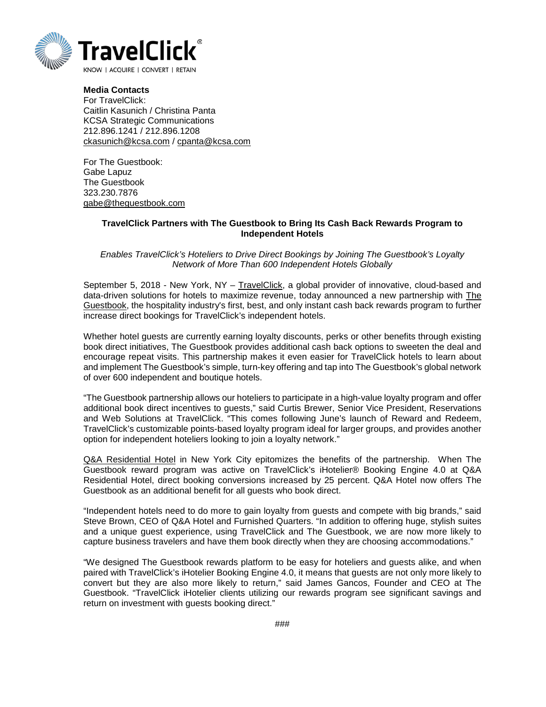

**Media Contacts** For TravelClick: Caitlin Kasunich / Christina Panta KCSA Strategic Communications 212.896.1241 / 212.896.1208 [ckasunich@kcsa.com](mailto:ckasunich@kcsa.com) / [cpanta@kcsa.com](mailto:cpanta@kcsa.com)

For The Guestbook: Gabe Lapuz The Guestbook 323.230.7876 [gabe@theguestbook.com](mailto:gabe@theguestbook.com)

## **TravelClick Partners with The Guestbook to Bring Its Cash Back Rewards Program to Independent Hotels**

*Enables TravelClick's Hoteliers to Drive Direct Bookings by Joining The Guestbook's Loyalty Network of More Than 600 Independent Hotels Globally*

September 5, 2018 - New York, NY – [TravelClick,](https://www.travelclick.com/) a global provider of innovative, cloud-based and data-driven solutions for hotels to maximize revenue, today announced a new partnership with [The](https://theguestbook.com/hoteliers)  [Guestbook,](https://theguestbook.com/hoteliers) the hospitality industry's first, best, and only instant cash back rewards program to further increase direct bookings for TravelClick's independent hotels.

Whether hotel guests are currently earning loyalty discounts, perks or other benefits through existing book direct initiatives, The Guestbook provides additional cash back options to sweeten the deal and encourage repeat visits. This partnership makes it even easier for TravelClick hotels to learn about and implement The Guestbook's simple, turn-key offering and tap into The Guestbook's global network of over 600 independent and boutique hotels.

"The Guestbook partnership allows our hoteliers to participate in a high-value loyalty program and offer additional book direct incentives to guests," said Curtis Brewer, Senior Vice President, Reservations and Web Solutions at TravelClick. "This comes following June's launch of Reward and Redeem, TravelClick's customizable points-based loyalty program ideal for larger groups, and provides another option for independent hoteliers looking to join a loyalty network."

[Q&A Residential Hotel](https://qandahotel.com/) in New York City epitomizes the benefits of the partnership. When The Guestbook reward program was active on TravelClick's iHotelier® Booking Engine 4.0 at Q&A Residential Hotel, direct booking conversions increased by 25 percent. Q&A Hotel now offers The Guestbook as an additional benefit for all guests who book direct.

"Independent hotels need to do more to gain loyalty from guests and compete with big brands," said Steve Brown, CEO of Q&A Hotel and Furnished Quarters. "In addition to offering huge, stylish suites and a unique guest experience, using TravelClick and The Guestbook, we are now more likely to capture business travelers and have them book directly when they are choosing accommodations."

"We designed The Guestbook rewards platform to be easy for hoteliers and guests alike, and when paired with TravelClick's iHotelier Booking Engine 4.0, it means that guests are not only more likely to convert but they are also more likely to return," said James Gancos, Founder and CEO at The Guestbook. "TravelClick iHotelier clients utilizing our rewards program see significant savings and return on investment with guests booking direct."